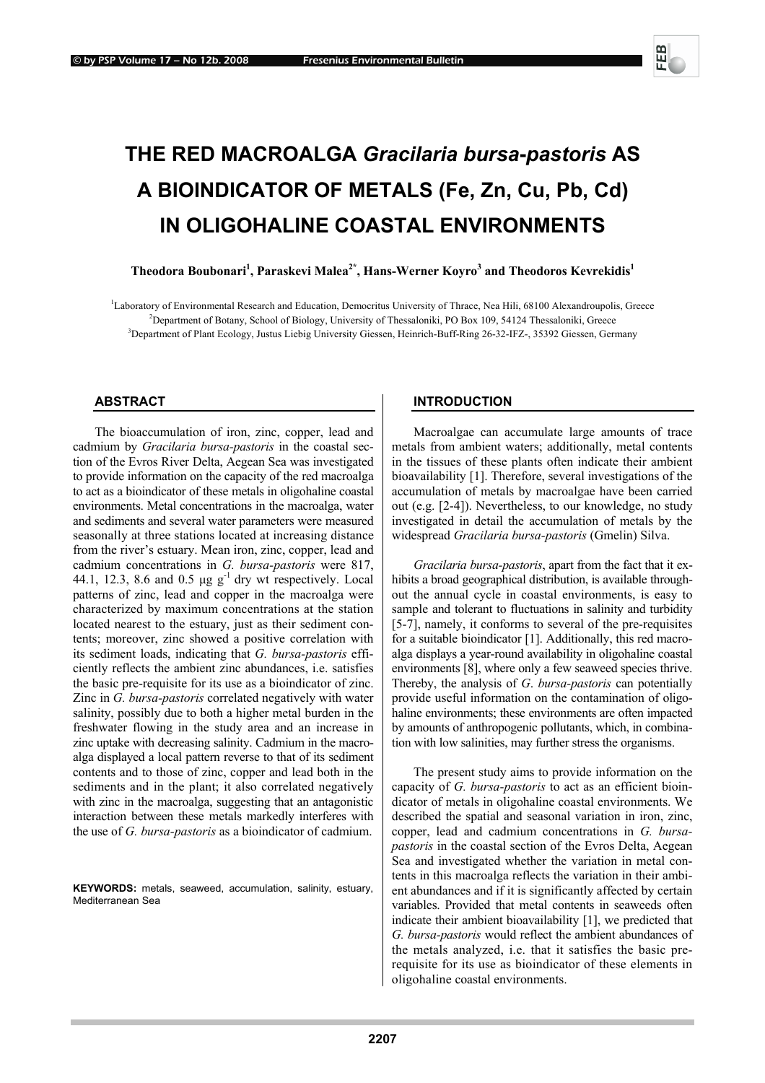

# **THE RED MACROALGA** *Gracilaria bursa***-***pastoris* **AS A BIOINDICATOR OF METALS (Fe, Zn, Cu, Pb, Cd) IN OLIGOHALINE COASTAL ENVIRONMENTS**

# $\bf{The odora\ Boubonari}^1, \bf{Paraskevi\ Malea^2^*, \bf{Hans-Werner\ Koyro^3}$  and  $\bf{Theodoros\ Kevrekidis^1}$

<sup>1</sup>Laboratory of Environmental Research and Education, Democritus University of Thrace, Nea Hili, 68100 Alexandroupolis, Greece <sup>2</sup>Department of Petersy School of Piology University of Thesseleniki, PO Box 100, 54124 Thess <sup>2</sup>Department of Botany, School of Biology, University of Thessaloniki, PO Box 109, 54124 Thessaloniki, Greece <sup>3</sup>Department of Plant Ecology, Justus Liebig University Giessen, Heinrich-Buff-Ring 26-32-IFZ-, 35392 Giessen, Germany

## **ABSTRACT**

The bioaccumulation of iron, zinc, copper, lead and cadmium by *Gracilaria bursa-pastoris* in the coastal section of the Evros River Delta, Aegean Sea was investigated to provide information on the capacity of the red macroalga to act as a bioindicator of these metals in oligohaline coastal environments. Metal concentrations in the macroalga, water and sediments and several water parameters were measured seasonally at three stations located at increasing distance from the river's estuary. Mean iron, zinc, copper, lead and cadmium concentrations in *G. bursa-pastoris* were 817, 44.1, 12.3, 8.6 and 0.5  $\mu$ g g<sup>-1</sup> dry wt respectively. Local patterns of zinc, lead and copper in the macroalga were characterized by maximum concentrations at the station located nearest to the estuary, just as their sediment contents; moreover, zinc showed a positive correlation with its sediment loads, indicating that *G. bursa-pastoris* efficiently reflects the ambient zinc abundances, i.e. satisfies the basic pre-requisite for its use as a bioindicator of zinc. Zinc in *G. bursa-pastoris* correlated negatively with water salinity, possibly due to both a higher metal burden in the freshwater flowing in the study area and an increase in zinc uptake with decreasing salinity. Cadmium in the macroalga displayed a local pattern reverse to that of its sediment contents and to those of zinc, copper and lead both in the sediments and in the plant; it also correlated negatively with zinc in the macroalga, suggesting that an antagonistic interaction between these metals markedly interferes with the use of *G. bursa-pastoris* as a bioindicator of cadmium.

**KEYWORDS:** metals, seaweed, accumulation, salinity, estuary, Mediterranean Sea

## **INTRODUCTION**

Macroalgae can accumulate large amounts of trace metals from ambient waters; additionally, metal contents in the tissues of these plants often indicate their ambient bioavailability [1]. Therefore, several investigations of the accumulation of metals by macroalgae have been carried out (e.g. [2-4]). Nevertheless, to our knowledge, no study investigated in detail the accumulation of metals by the widespread *Gracilaria bursa-pastoris* (Gmelin) Silva.

*Gracilaria bursa-pastoris*, apart from the fact that it exhibits a broad geographical distribution, is available throughout the annual cycle in coastal environments, is easy to sample and tolerant to fluctuations in salinity and turbidity [5-7], namely, it conforms to several of the pre-requisites for a suitable bioindicator [1]. Additionally, this red macroalga displays a year-round availability in oligohaline coastal environments [8], where only a few seaweed species thrive. Thereby, the analysis of *G*. *bursa-pastoris* can potentially provide useful information on the contamination of oligohaline environments; these environments are often impacted by amounts of anthropogenic pollutants, which, in combination with low salinities, may further stress the organisms.

The present study aims to provide information on the capacity of *G. bursa*-*pastoris* to act as an efficient bioindicator of metals in oligohaline coastal environments. We described the spatial and seasonal variation in iron, zinc, copper, lead and cadmium concentrations in *G. bursapastoris* in the coastal section of the Evros Delta, Aegean Sea and investigated whether the variation in metal contents in this macroalga reflects the variation in their ambient abundances and if it is significantly affected by certain variables. Provided that metal contents in seaweeds often indicate their ambient bioavailability [1], we predicted that *G. bursa-pastoris* would reflect the ambient abundances of the metals analyzed, i.e. that it satisfies the basic prerequisite for its use as bioindicator of these elements in oligohaline coastal environments.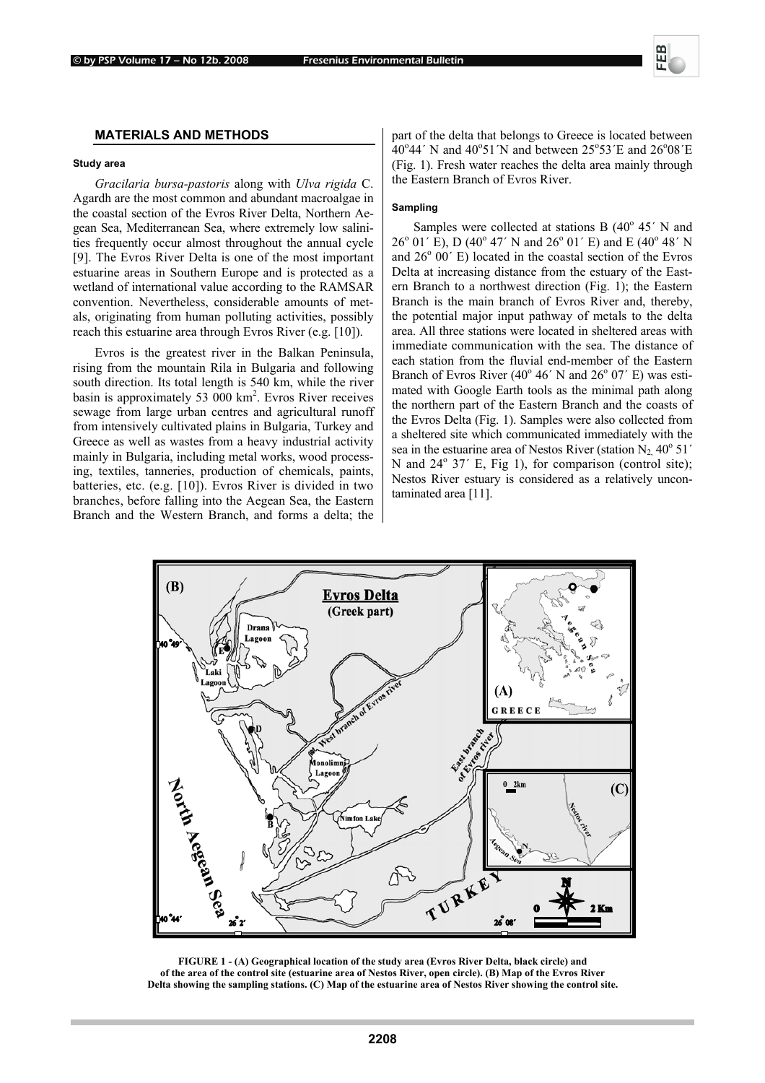#### © by PSP Volume 17 – No 12b. 2008 Fresenius Environmental Bulletin

## **MATERIALS AND METHODS**

#### **Study area**

*Gracilaria bursa-pastoris* along with *Ulva rigida* C. Agardh are the most common and abundant macroalgae in the coastal section of the Evros River Delta, Northern Aegean Sea, Mediterranean Sea, where extremely low salinities frequently occur almost throughout the annual cycle [9]. The Evros River Delta is one of the most important estuarine areas in Southern Europe and is protected as a wetland of international value according to the RAMSAR convention. Nevertheless, considerable amounts of metals, originating from human polluting activities, possibly reach this estuarine area through Evros River (e.g. [10]).

Evros is the greatest river in the Balkan Peninsula, rising from the mountain Rila in Bulgaria and following south direction. Its total length is 540 km, while the river basin is approximately 53  $000 \text{ km}^2$ . Evros River receives sewage from large urban centres and agricultural runoff from intensively cultivated plains in Bulgaria, Turkey and Greece as well as wastes from a heavy industrial activity mainly in Bulgaria, including metal works, wood processing, textiles, tanneries, production of chemicals, paints, batteries, etc. (e.g. [10]). Evros River is divided in two branches, before falling into the Aegean Sea, the Eastern Branch and the Western Branch, and forms a delta; the

part of the delta that belongs to Greece is located between 40°44' N and 40°51'N and between 25°53'E and 26°08'E (Fig. 1). Fresh water reaches the delta area mainly through the Eastern Branch of Evros River.

## **Sampling**

Samples were collected at stations B  $(40^{\circ} 45^{\prime} N$  and 26<sup>°</sup> 01' E), D (40<sup>°</sup> 47' N and 26<sup>°</sup> 01' E) and E (40<sup>°</sup> 48' N and 26<sup>°</sup> 00<sup>′</sup> E) located in the coastal section of the Evros Delta at increasing distance from the estuary of the Eastern Branch to a northwest direction (Fig. 1); the Eastern Branch is the main branch of Evros River and, thereby, the potential major input pathway of metals to the delta area. All three stations were located in sheltered areas with immediate communication with the sea. The distance of each station from the fluvial end-member of the Eastern Branch of Evros River  $(40^{\circ} 46' N$  and  $26^{\circ} 07' E$ ) was estimated with Google Earth tools as the minimal path along the northern part of the Eastern Branch and the coasts of the Evros Delta (Fig. 1). Samples were also collected from a sheltered site which communicated immediately with the sea in the estuarine area of Nestos River (station  $N_2$ , 40 $\degree$  51' Ν and 24<sup>ο</sup> 37΄ Ε, Fig 1), for comparison (control site); Nestos River estuary is considered as a relatively uncontaminated area [11].



**FIGURE 1 - (A) Geographical location of the study area (Evros River Delta, black circle) and of the area of the control site (estuarine area of Nestos River, open circle). (B) Map of the Evros River Delta showing the sampling stations. (C) Map of the estuarine area of Nestos River showing the control site.**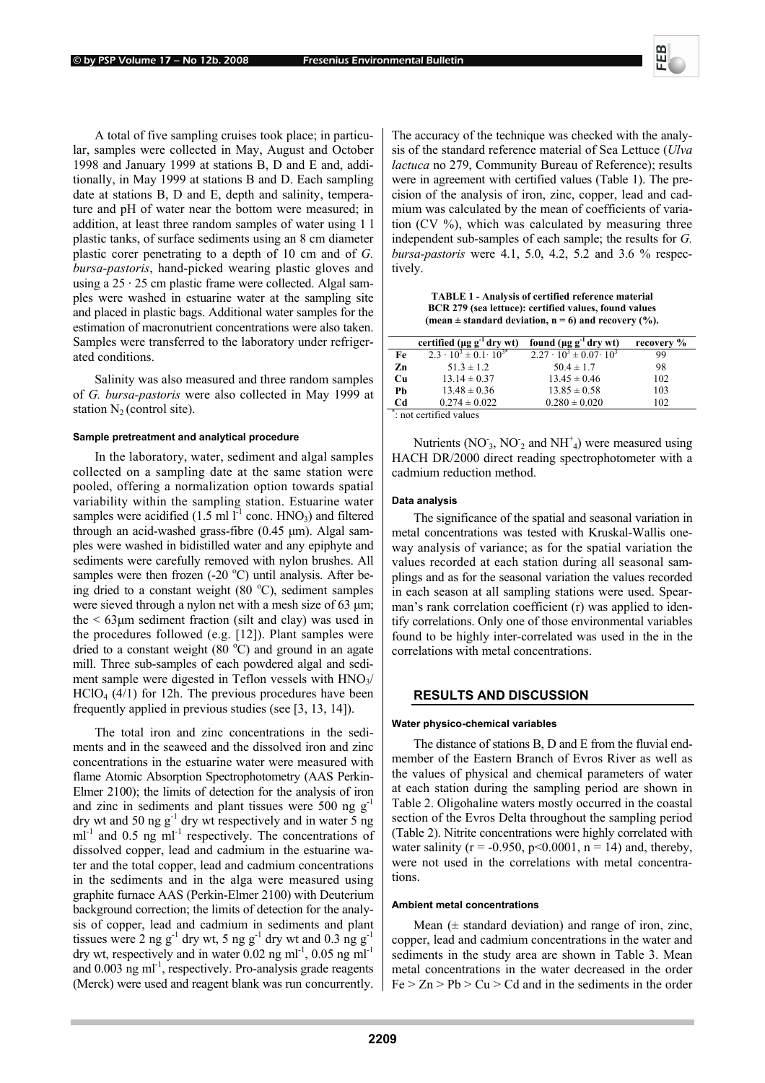A total of five sampling cruises took place; in particular, samples were collected in May, August and October 1998 and January 1999 at stations B, D and E and, additionally, in May 1999 at stations B and D. Each sampling date at stations B, D and E, depth and salinity, temperature and pH of water near the bottom were measured; in addition, at least three random samples of water using 1 l plastic tanks, of surface sediments using an 8 cm diameter plastic corer penetrating to a depth of 10 cm and of *G. bursa-pastoris*, hand-picked wearing plastic gloves and using a  $25 \cdot 25$  cm plastic frame were collected. Algal samples were washed in estuarine water at the sampling site and placed in plastic bags. Additional water samples for the estimation of macronutrient concentrations were also taken. Samples were transferred to the laboratory under refrigerated conditions.

Salinity was also measured and three random samples of *G. bursa-pastoris* were also collected in May 1999 at station  $N_2$  (control site).

#### **Sample pretreatment and analytical procedure**

In the laboratory, water, sediment and algal samples collected on a sampling date at the same station were pooled, offering a normalization option towards spatial variability within the sampling station. Estuarine water samples were acidified (1.5 ml  $l^{-1}$  conc. HNO<sub>3</sub>) and filtered through an acid-washed grass-fibre (0.45 µm). Algal samples were washed in bidistilled water and any epiphyte and sediments were carefully removed with nylon brushes. All samples were then frozen  $(-20 °C)$  until analysis. After being dried to a constant weight  $(80 °C)$ , sediment samples were sieved through a nylon net with a mesh size of 63  $\mu$ m; the  $\leq 63\mu m$  sediment fraction (silt and clay) was used in the procedures followed (e.g. [12]). Plant samples were dried to a constant weight  $(80 °C)$  and ground in an agate mill. Three sub-samples of each powdered algal and sediment sample were digested in Teflon vessels with  $HNO<sub>3</sub>/$  $HClO<sub>4</sub>(4/1)$  for 12h. The previous procedures have been frequently applied in previous studies (see [3, 13, 14]).

The total iron and zinc concentrations in the sediments and in the seaweed and the dissolved iron and zinc concentrations in the estuarine water were measured with flame Atomic Absorption Spectrophotometry (AAS Perkin-Elmer 2100); the limits of detection for the analysis of iron and zinc in sediments and plant tissues were 500 ng  $g^{-1}$ dry wt and 50 ng  $g^{-1}$  dry wt respectively and in water 5 ng  $ml^{-1}$  and 0.5 ng  $ml^{-1}$  respectively. The concentrations of dissolved copper, lead and cadmium in the estuarine water and the total copper, lead and cadmium concentrations in the sediments and in the alga were measured using graphite furnace AAS (Perkin-Elmer 2100) with Deuterium background correction; the limits of detection for the analysis of copper, lead and cadmium in sediments and plant tissues were 2 ng  $g^{-1}$  dry wt, 5 ng  $g^{-1}$  dry wt and 0.3 ng  $g^{-1}$ dry wt, respectively and in water  $0.02$  ng ml<sup>-1</sup>,  $0.05$  ng ml<sup>-1</sup> and  $0.003$  ng m $<sup>1</sup>$ , respectively. Pro-analysis grade reagents</sup> (Merck) were used and reagent blank was run concurrently.

The accuracy of the technique was checked with the analysis of the standard reference material of Sea Lettuce (*Ulva lactuca* no 279, Community Bureau of Reference); results were in agreement with certified values (Table 1). The precision of the analysis of iron, zinc, copper, lead and cadmium was calculated by the mean of coefficients of variation (CV %), which was calculated by measuring three independent sub-samples of each sample; the results for *G. bursa-pastoris* were 4.1, 5.0, 4.2, 5.2 and 3.6 % respectively.

**TABLE 1 - Analysis of certified reference material BCR 279 (sea lettuce): certified values, found values (mean ± standard deviation, n = 6) and recovery (%).** 

|    | certified ( $\mu$ g g <sup>-1</sup> dry wt) | found $(\mu g g^{-1}$ dry wt)         | recovery % |
|----|---------------------------------------------|---------------------------------------|------------|
| Fe | $2.3 \cdot 10^{3} \pm 0.1 \cdot 10^{3*}$    | $2.27 \cdot 10^3 \pm 0.07 \cdot 10^3$ | 99         |
| Zn | $51.3 \pm 1.2$                              | $50.4 \pm 1.7$                        | 98         |
| Cu | $13.14 \pm 0.37$                            | $13.45 \pm 0.46$                      | 102        |
| Ph | $13.48 \pm 0.36$                            | $13.85 \pm 0.58$                      | 103        |
| Cd | $0.274 \pm 0.022$                           | $0.280 \pm 0.020$                     | 102        |

: not certified values

Nutrients (NO<sup>-</sup><sub>3</sub>, NO<sup>-</sup><sub>2</sub> and NH<sup>+</sup><sub>4</sub>) were measured using HACH DR/2000 direct reading spectrophotometer with a cadmium reduction method.

## **Data analysis**

The significance of the spatial and seasonal variation in metal concentrations was tested with Kruskal-Wallis oneway analysis of variance; as for the spatial variation the values recorded at each station during all seasonal samplings and as for the seasonal variation the values recorded in each season at all sampling stations were used. Spearman's rank correlation coefficient (r) was applied to identify correlations. Only one of those environmental variables found to be highly inter-correlated was used in the in the correlations with metal concentrations.

## **RESULTS AND DISCUSSION**

#### **Water physico-chemical variables**

The distance of stations B, D and E from the fluvial endmember of the Eastern Branch of Evros River as well as the values of physical and chemical parameters of water at each station during the sampling period are shown in Table 2. Oligohaline waters mostly occurred in the coastal section of the Evros Delta throughout the sampling period (Table 2). Nitrite concentrations were highly correlated with water salinity ( $r = -0.950$ ,  $p < 0.0001$ ,  $n = 14$ ) and, thereby, were not used in the correlations with metal concentrations.

#### **Ambient metal concentrations**

Mean  $(\pm$  standard deviation) and range of iron, zinc, copper, lead and cadmium concentrations in the water and sediments in the study area are shown in Table 3. Mean metal concentrations in the water decreased in the order  $Fe > Zn > Pb > Cu > Cd$  and in the sediments in the order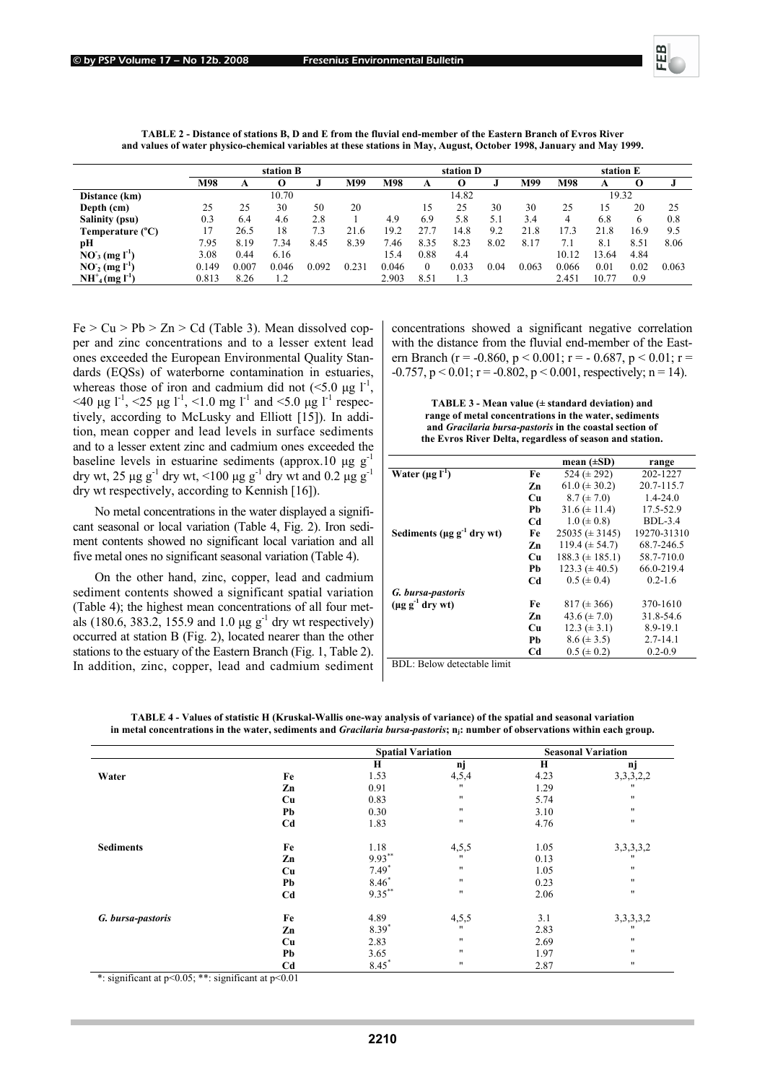

|                                 | station B |       |       |       | station D |       |              |       | station E |       |       |       |      |       |
|---------------------------------|-----------|-------|-------|-------|-----------|-------|--------------|-------|-----------|-------|-------|-------|------|-------|
|                                 | M98       | A     | O     |       | M99       | M98   | A            |       |           | M99   | M98   | A     |      |       |
| Distance (km)                   |           |       | 10.70 |       |           |       |              | 14.82 |           |       |       | 19.32 |      |       |
| Depth (cm)                      | 25        | 25    | 30    | 50    | 20        |       | 15           | 25    | 30        | 30    | 25    | 15    | 20   | 25    |
| <b>Salinity (psu)</b>           | 0.3       | 6.4   | 4.6   | 2.8   |           | 4.9   | 6.9          | 5.8   | 5.1       | 3.4   | 4     | 6.8   | 6    | 0.8   |
| Temperature $(^{\circ}C)$       | 17        | 26.5  | 18    | 7.3   | 21.6      | 19.2  | 27.          | 14.8  | 9.2       | 21.8  | 17.3  | 21.8  | 16.9 | 9.5   |
| pН                              | 7.95      | 8.19  | 7.34  | 8.45  | 8.39      | 7.46  | 8.35         | 8.23  | 8.02      | 8.17  | 7.1   | 8.1   | 8.51 | 8.06  |
| $NO_3 (mg l-1)$                 | 3.08      | 0.44  | 6.16  |       |           | 15.4  | 0.88         | 4.4   |           |       | 10.12 | 13.64 | 4.84 |       |
| $NO2$ (mg $IT$                  | 0.149     | 0.007 | 0.046 | 0.092 | 0.231     | 0.046 | $\mathbf{0}$ | 0.033 | 0.04      | 0.063 | 0.066 | 0.01  | 0.02 | 0.063 |
| $NH^+_{4}$ (mg l <sup>-1)</sup> | 0.813     | 8.26  |       |       |           | 2.903 | 8.51         | 1.3   |           |       | 2.451 | 10.77 | 0.9  |       |

**TABLE 2 - Distance of stations B, D and E from the fluvial end-member of the Eastern Branch of Evros River and values of water physico-chemical variables at these stations in May, August, October 1998, January and May 1999.** 

 $Fe > Cu > Pb > Zn > Cd$  (Table 3). Mean dissolved copper and zinc concentrations and to a lesser extent lead ones exceeded the European Environmental Quality Standards (EQSs) of waterborne contamination in estuaries, whereas those of iron and cadmium did not  $(<5.0 \mu g l^{-1})$  $<$ 40 µg l<sup>-1</sup>,  $<$ 25 µg l<sup>-1</sup>,  $<$ 1.0 mg l<sup>-1</sup> and  $<$ 5.0 µg l<sup>-1</sup> respectively, according to McLusky and Elliott [15]). In addition, mean copper and lead levels in surface sediments and to a lesser extent zinc and cadmium ones exceeded the baseline levels in estuarine sediments (approx.10  $\mu$ g g<sup>-1</sup> dry wt, 25  $\mu$ g g<sup>-1</sup> dry wt, <100  $\mu$ g g<sup>-1</sup> dry wt and 0.2  $\mu$ g g<sup>-1</sup> dry wt respectively, according to Kennish [16]).

No metal concentrations in the water displayed a significant seasonal or local variation (Table 4, Fig. 2). Iron sediment contents showed no significant local variation and all five metal ones no significant seasonal variation (Table 4).

On the other hand, zinc, copper, lead and cadmium sediment contents showed a significant spatial variation (Table 4); the highest mean concentrations of all four metals (180.6, 383.2, 155.9 and 1.0  $\mu$ g g<sup>-1</sup> dry wt respectively) occurred at station B (Fig. 2), located nearer than the other stations to the estuary of the Eastern Branch (Fig. 1, Table 2). In addition, zinc, copper, lead and cadmium sediment concentrations showed a significant negative correlation with the distance from the fluvial end-member of the Eastern Branch (r = -0.860, p < 0.001; r = - 0.687, p < 0.01; r =  $-0.757$ ,  $p < 0.01$ ;  $r = -0.802$ ,  $p < 0.001$ , respectively;  $n = 14$ ).

**TABLE 3 - Mean value (± standard deviation) and range of metal concentrations in the water, sediments and** *Gracilaria bursa-pastoris* **in the coastal section of the Evros River Delta, regardless of season and station.** 

|                                             |    | mean $(\pm SD)$     | range        |
|---------------------------------------------|----|---------------------|--------------|
| Water $(\mu g I^{-1})$                      | Fe | 524 ( $\pm$ 292)    | 202-1227     |
|                                             | Zn | $61.0 \ (\pm 30.2)$ | 20.7-115.7   |
|                                             | Cп | $8.7 (\pm 7.0)$     | $1.4 - 24.0$ |
|                                             | Ph | $31.6 \ (\pm 11.4)$ | 17.5-52.9    |
|                                             | Cd | $1.0 \ (\pm 0.8)$   | $BDL-3.4$    |
| Sediments ( $\mu$ g g <sup>-1</sup> dry wt) | Fe | $25035 (\pm 3145)$  | 19270-31310  |
|                                             | Zn | 119.4 $(\pm 54.7)$  | 68.7-246.5   |
|                                             | Cп | $188.3 (\pm 185.1)$ | 58.7-710.0   |
|                                             | Ph | $123.3 (\pm 40.5)$  | 66.0-219.4   |
|                                             | Cd | $0.5 (\pm 0.4)$     | $0.2 - 1.6$  |
| G. bursa-pastoris                           |    |                     |              |
| $(\mu \rho \rho^{-1}$ drv wt)               | Fe | $817 (\pm 366)$     | 370-1610     |
|                                             | Zn | 43.6 $(\pm 7.0)$    | 31.8-54.6    |
|                                             | Cп | $12.3 (\pm 3.1)$    | 8.9-19.1     |
|                                             | Ph | $8.6 (\pm 3.5)$     | $2.7 - 14.1$ |
|                                             | Cd | $0.5 \ (\pm 0.2)$   | $0.2 - 0.9$  |

BDL: Below detectable limit

|                                                            |                                        | <b>Spatial Variation</b> |                   |      | <b>Seasonal Variation</b> |
|------------------------------------------------------------|----------------------------------------|--------------------------|-------------------|------|---------------------------|
|                                                            |                                        | $\bf H$                  | nj                | H    | nj                        |
| Water                                                      | Fe                                     | 1.53                     | 4,5,4             | 4.23 | 3, 3, 3, 2, 2             |
|                                                            | Zn                                     | 0.91                     | $^{\prime\prime}$ | 1.29 |                           |
|                                                            | Cu                                     | 0.83                     | $^{\prime\prime}$ | 5.74 | $^{\dagger}$              |
|                                                            | Pb                                     | 0.30                     | $^{\prime\prime}$ | 3.10 | $^{\dagger}$              |
|                                                            | C <sub>d</sub>                         | 1.83                     | $^{\prime\prime}$ | 4.76 | $^{\dagger}$              |
| <b>Sediments</b>                                           | Fe                                     | 1.18                     | 4,5,5             | 1.05 | 3, 3, 3, 3, 2             |
|                                                            | Zn                                     | $9.93***$                | $^{\prime\prime}$ | 0.13 |                           |
|                                                            | Cu                                     | $7.49*$                  | $^{\prime\prime}$ | 1.05 | $^{\dagger}$              |
|                                                            | Pb                                     | $8.46*$                  | $^{\prime\prime}$ | 0.23 | $^{\dagger}$              |
|                                                            | C <sub>d</sub>                         | $9.35***$                | $^{\prime\prime}$ | 2.06 | $^{\dagger}$              |
| G. bursa-pastoris                                          | Fe                                     | 4.89                     | 4, 5, 5           | 3.1  | 3, 3, 3, 3, 2             |
|                                                            | Zn                                     | 8.39*                    | $^{\prime\prime}$ | 2.83 |                           |
|                                                            | Cu                                     | 2.83                     | $^{\prime\prime}$ | 2.69 | $^{\dagger}$              |
|                                                            | Pb                                     | 3.65                     | $^{\prime\prime}$ | 1.97 | $^{\dagger}$              |
| and the same<br>$\Delta \Delta \sigma$ and $\Delta \sigma$ | C <sub>d</sub><br>$\sim$ $\sim$ $\sim$ | $8.45*$                  | $^{\prime\prime}$ | 2.87 | $^{\dagger}$              |

**TABLE 4 - Values of statistic H (Kruskal-Wallis one-way analysis of variance) of the spatial and seasonal variation in metal concentrations in the water, sediments and** *Gracilaria bursa-pastoris***; nj: number of observations within each group.**

\*: significant at p<0.05; \*\*: significant at p<0.01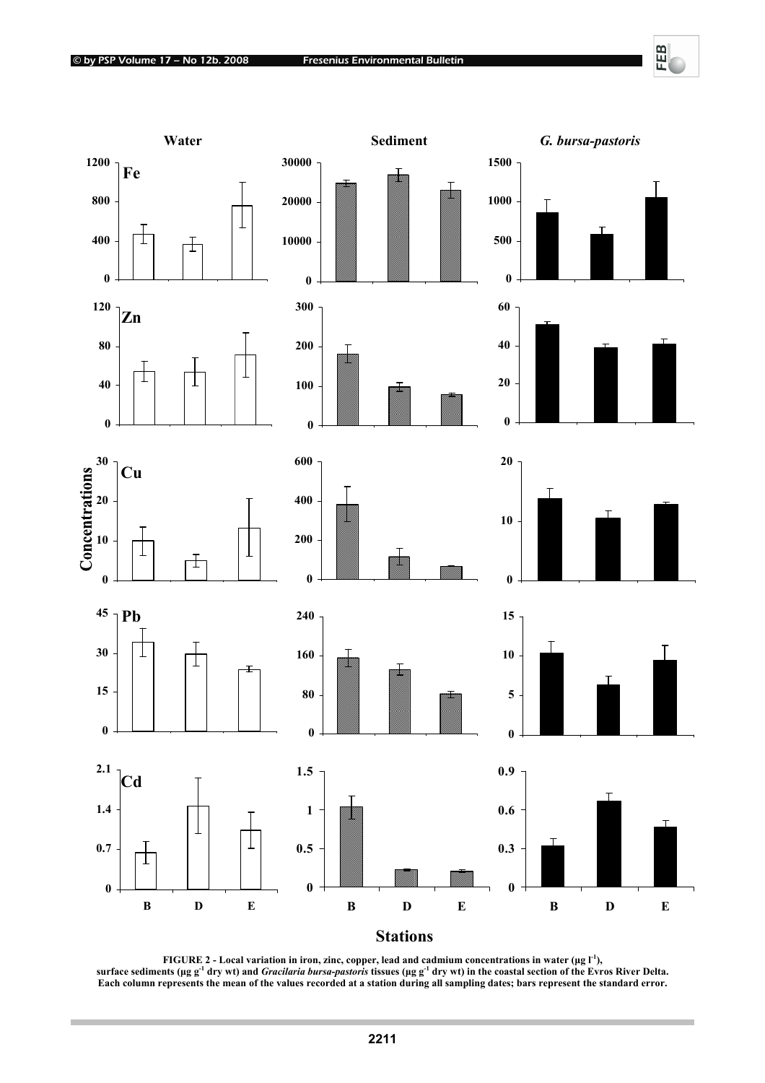**COL** 

FEB



**FIGURE 2 - Local variation in iron, zinc, copper, lead and cadmium concentrations in water (µg l<sup>-1</sup>), surface sediments (µg g-1 dry wt) and** *Gracilaria bursa***-***pastoris* **tissues (µg g-1 dry wt) in the coastal section of the Evros River Delta.**  Each column represents the mean of the values recorded at a station during all sampling dates; bars represent the standard error.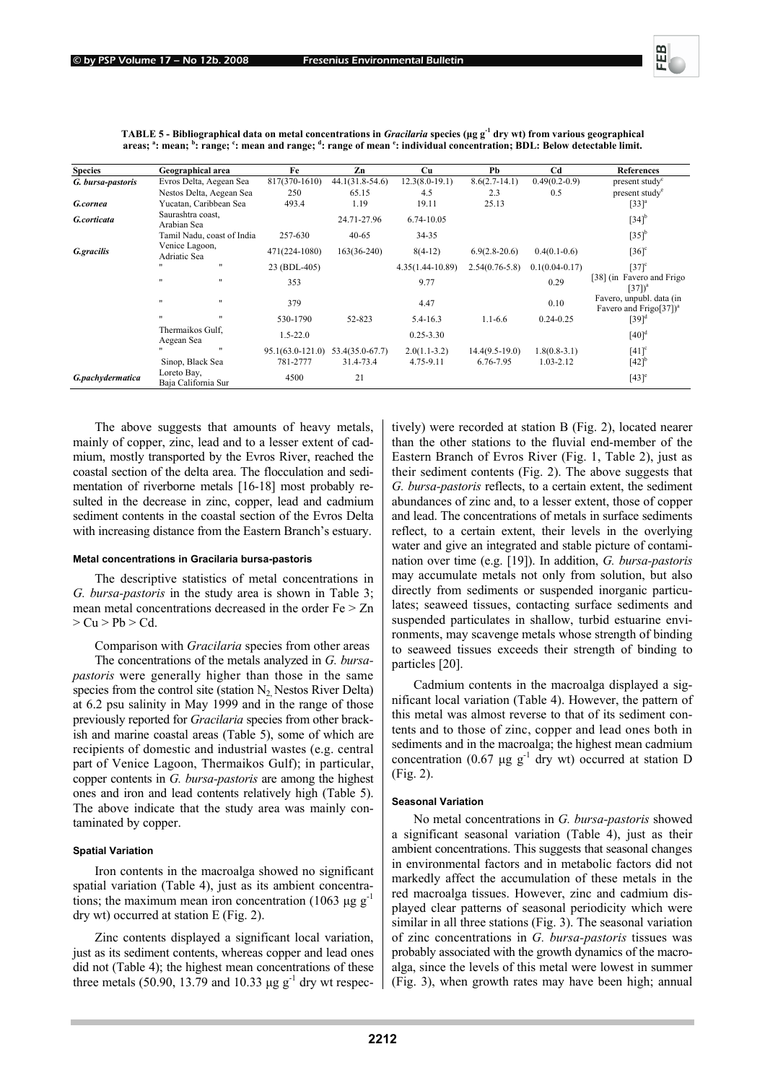| <b>Species</b>    | Geographical area                  | Fe                   | Zn                | <b>Cu</b>        | Pb               | C <sub>d</sub>   | <b>References</b>                                                |
|-------------------|------------------------------------|----------------------|-------------------|------------------|------------------|------------------|------------------------------------------------------------------|
| G. bursa-pastoris | Evros Delta, Aegean Sea            | 817(370-1610)        | $44.1(31.8-54.6)$ | $12.3(8.0-19.1)$ | $8.6(2.7-14.1)$  | $0.49(0.2-0.9)$  | present study <sup>c</sup>                                       |
|                   | Nestos Delta, Aegean Sea           | 250                  | 65.15             | 4.5              | 2.3              | 0.5              | present study <sup>e</sup>                                       |
| G.cornea          | Yucatan, Caribbean Sea             | 493.4                | 1.19              | 19.11            | 25.13            |                  | $[33]$ <sup>a</sup>                                              |
| G.corticata       | Saurashtra coast,<br>Arabian Sea   |                      | 24.71-27.96       | 6.74-10.05       |                  |                  | $[34]$ <sup>b</sup>                                              |
|                   | Tamil Nadu, coast of India         | 257-630              | $40 - 65$         | 34-35            |                  |                  | $[35]$ <sup>b</sup>                                              |
| G.gracilis        | Venice Lagoon,<br>Adriatic Sea     | 471(224-1080)        | $163(36-240)$     | $8(4-12)$        | $6.9(2.8-20.6)$  | $0.4(0.1-0.6)$   | $[36]$ <sup>c</sup>                                              |
|                   | $\mathbf{H}$<br>$^{\prime}$        | 23 (BDL-405)         |                   | 4.35(1.44-10.89) | $2.54(0.76-5.8)$ | $0.1(0.04-0.17)$ | $[37]$ <sup>c</sup>                                              |
|                   | $^{\prime}$<br>$\mathbf{H}$        | 353                  |                   | 9.77             |                  | 0.29             | [38] (in Favero and Frigo<br>$[37]$ <sup>a</sup>                 |
|                   | $\mathbf{H}$<br>$\mathbf{H}$       | 379                  |                   | 4.47             |                  | 0.10             | Favero, unpubl. data (in<br>Favero and Frigo $[37]$ <sup>a</sup> |
|                   | $\mathbf{H}$<br>$\mathbf{H}$       | 530-1790             | 52-823            | 5.4-16.3         | $1.1 - 6.6$      | $0.24 - 0.25$    | $[39]$ <sup>d</sup>                                              |
|                   | Thermaikos Gulf,<br>Aegean Sea     | $1.5 - 22.0$         |                   | $0.25 - 3.30$    |                  |                  | $[40]$ <sup>d</sup>                                              |
|                   | $\mathbf{H}$                       | $95.1(63.0 - 121.0)$ | 53.4(35.0-67.7)   | $2.0(1.1-3.2)$   | $14.4(9.5-19.0)$ | $1.8(0.8-3.1)$   | $[41]$ <sup>c</sup>                                              |
|                   | Sinop, Black Sea                   | 781-2777             | 31.4-73.4         | 4.75-9.11        | 6.76-7.95        | 1.03-2.12        | $[42]$ <sup>b</sup>                                              |
| G.pachydermatica  | Loreto Bay,<br>Baja California Sur | 4500                 | 21                |                  |                  |                  | $[43]$ <sup>e</sup>                                              |

**TABLE 5 - Bibliographical data on metal concentrations in** *Gracilaria* **species (µg g-1 dry wt) from various geographical**  areas; <sup>a</sup>: mean; <sup>b</sup>: range; <sup>c</sup>: mean and range; <sup>d</sup>: range of mean <sup>e</sup>: individual concentration; BDL: Below detectable limit.

The above suggests that amounts of heavy metals, mainly of copper, zinc, lead and to a lesser extent of cadmium, mostly transported by the Evros River, reached the coastal section of the delta area. The flocculation and sedimentation of riverborne metals [16-18] most probably resulted in the decrease in zinc, copper, lead and cadmium sediment contents in the coastal section of the Evros Delta with increasing distance from the Eastern Branch's estuary.

#### **Metal concentrations in Gracilaria bursa-pastoris**

The descriptive statistics of metal concentrations in *G. bursa-pastoris* in the study area is shown in Table 3; mean metal concentrations decreased in the order Fe > Zn  $> Cu > Pb > Cd.$ 

Comparison with *Gracilaria* species from other areas The concentrations of the metals analyzed in *G. bursapastoris* were generally higher than those in the same species from the control site (station  $N_2$  Nestos River Delta) at 6.2 psu salinity in May 1999 and in the range of those previously reported for *Gracilaria* species from other brackish and marine coastal areas (Table 5), some of which are recipients of domestic and industrial wastes (e.g. central part of Venice Lagoon, Thermaikos Gulf); in particular, copper contents in *G. bursa-pastoris* are among the highest ones and iron and lead contents relatively high (Table 5). The above indicate that the study area was mainly contaminated by copper.

#### **Spatial Variation**

Iron contents in the macroalga showed no significant spatial variation (Table 4), just as its ambient concentrations; the maximum mean iron concentration (1063  $\mu$ g g<sup>-1</sup> dry wt) occurred at station E (Fig. 2).

Zinc contents displayed a significant local variation, just as its sediment contents, whereas copper and lead ones did not (Table 4); the highest mean concentrations of these three metals (50.90, 13.79 and 10.33  $\mu$ g g<sup>-1</sup> dry wt respectively) were recorded at station B (Fig. 2), located nearer than the other stations to the fluvial end-member of the Eastern Branch of Evros River (Fig. 1, Table 2), just as their sediment contents (Fig. 2). The above suggests that *G. bursa-pastoris* reflects, to a certain extent, the sediment abundances of zinc and, to a lesser extent, those of copper and lead. The concentrations of metals in surface sediments reflect, to a certain extent, their levels in the overlying water and give an integrated and stable picture of contamination over time (e.g. [19]). In addition, *G. bursa-pastoris* may accumulate metals not only from solution, but also directly from sediments or suspended inorganic particulates; seaweed tissues, contacting surface sediments and suspended particulates in shallow, turbid estuarine environments, may scavenge metals whose strength of binding to seaweed tissues exceeds their strength of binding to particles [20].

Cadmium contents in the macroalga displayed a significant local variation (Table 4). However, the pattern of this metal was almost reverse to that of its sediment contents and to those of zinc, copper and lead ones both in sediments and in the macroalga; the highest mean cadmium concentration (0.67  $\mu$ g g<sup>-1</sup> dry wt) occurred at station D (Fig. 2).

## **Seasonal Variation**

No metal concentrations in *G. bursa-pastoris* showed a significant seasonal variation (Table 4), just as their ambient concentrations. This suggests that seasonal changes in environmental factors and in metabolic factors did not markedly affect the accumulation of these metals in the red macroalga tissues. However, zinc and cadmium displayed clear patterns of seasonal periodicity which were similar in all three stations (Fig. 3). The seasonal variation of zinc concentrations in *G. bursa-pastoris* tissues was probably associated with the growth dynamics of the macroalga, since the levels of this metal were lowest in summer (Fig. 3), when growth rates may have been high; annual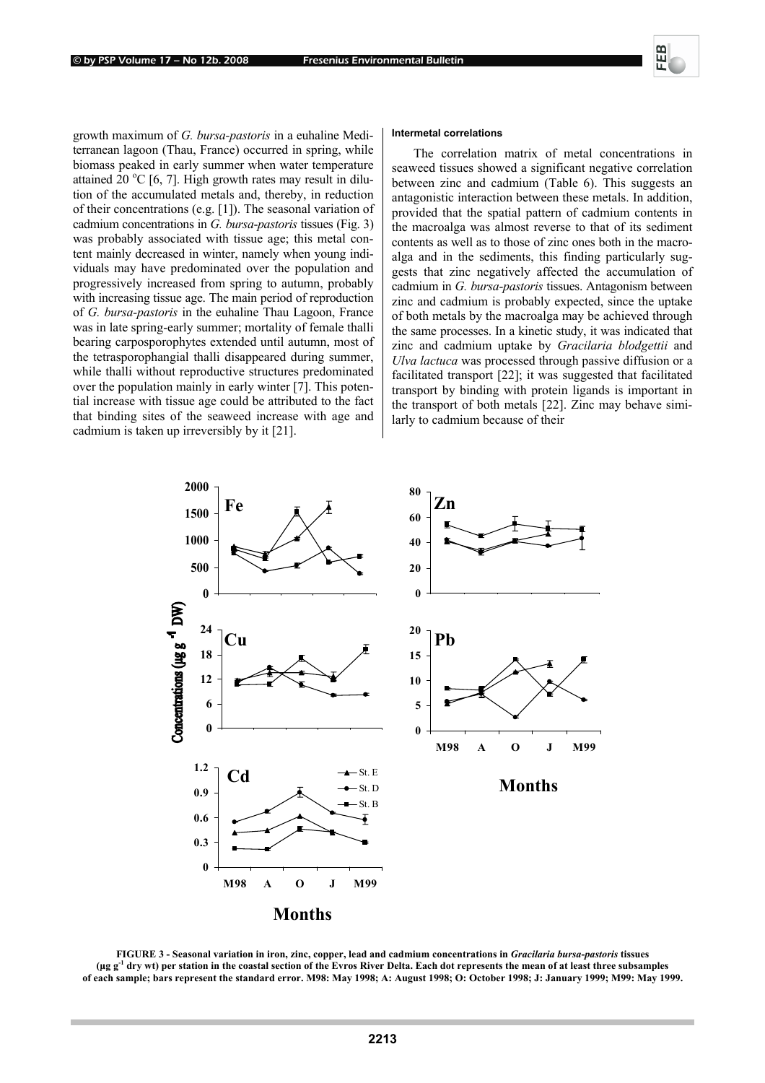growth maximum of *G. bursa-pastoris* in a euhaline Mediterranean lagoon (Thau, France) occurred in spring, while biomass peaked in early summer when water temperature attained  $20 °C$  [6, 7]. High growth rates may result in dilution of the accumulated metals and, thereby, in reduction of their concentrations (e.g. [1]). The seasonal variation of cadmium concentrations in *G. bursa*-*pastoris* tissues (Fig. 3) was probably associated with tissue age; this metal content mainly decreased in winter, namely when young individuals may have predominated over the population and progressively increased from spring to autumn, probably with increasing tissue age. The main period of reproduction of *G. bursa-pastoris* in the euhaline Thau Lagoon, France was in late spring-early summer; mortality of female thalli bearing carposporophytes extended until autumn, most of the tetrasporophangial thalli disappeared during summer, while thalli without reproductive structures predominated over the population mainly in early winter [7]. This potential increase with tissue age could be attributed to the fact that binding sites of the seaweed increase with age and cadmium is taken up irreversibly by it [21].

#### **Intermetal correlations**

The correlation matrix of metal concentrations in seaweed tissues showed a significant negative correlation between zinc and cadmium (Table 6). This suggests an antagonistic interaction between these metals. In addition, provided that the spatial pattern of cadmium contents in the macroalga was almost reverse to that of its sediment contents as well as to those of zinc ones both in the macroalga and in the sediments, this finding particularly suggests that zinc negatively affected the accumulation of cadmium in *G. bursa-pastoris* tissues. Antagonism between zinc and cadmium is probably expected, since the uptake of both metals by the macroalga may be achieved through the same processes. In a kinetic study, it was indicated that zinc and cadmium uptake by *Gracilaria blodgettii* and *Ulva lactuca* was processed through passive diffusion or a facilitated transport [22]; it was suggested that facilitated transport by binding with protein ligands is important in the transport of both metals [22]. Zinc may behave similarly to cadmium because of their



**FIGURE 3 - Seasonal variation in iron, zinc, copper, lead and cadmium concentrations in** *Gracilaria bursa***-***pastoris* **tissues (µg g-1 dry wt) per station in the coastal section of the Evros River Delta. Each dot represents the mean of at least three subsamples of each sample; bars represent the standard error. M98: May 1998; A: August 1998; O: October 1998; J: January 1999; M99: May 1999.**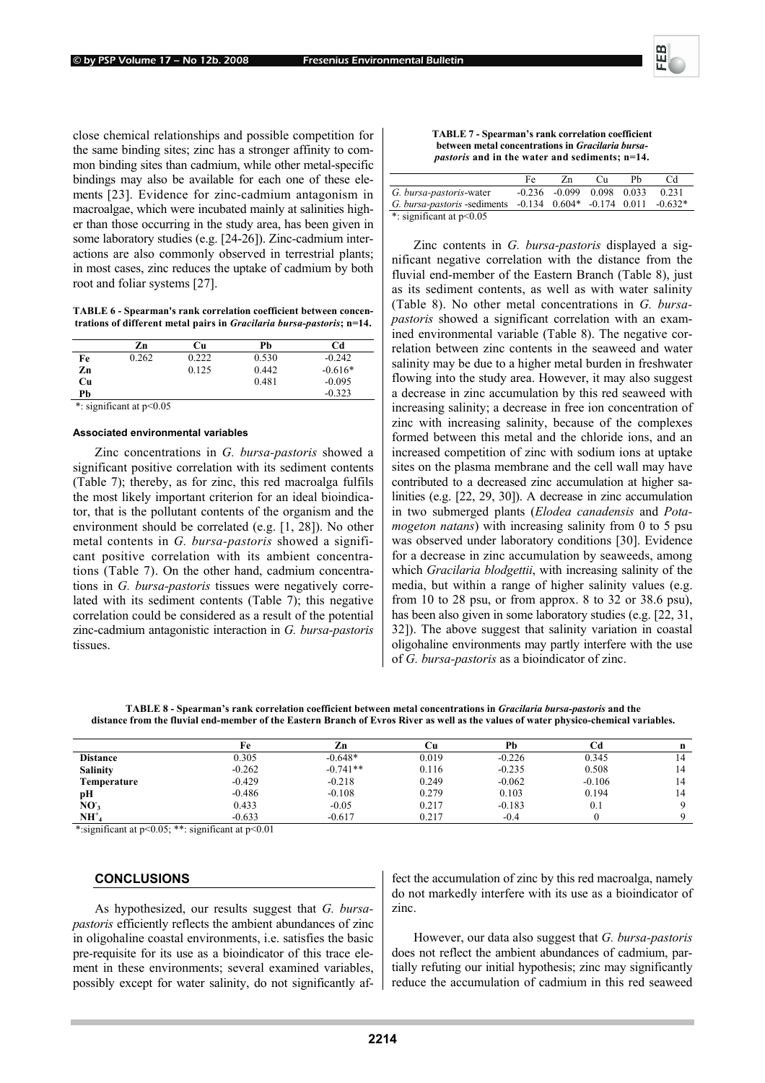close chemical relationships and possible competition for the same binding sites; zinc has a stronger affinity to common binding sites than cadmium, while other metal-specific bindings may also be available for each one of these elements [23]. Evidence for zinc-cadmium antagonism in macroalgae, which were incubated mainly at salinities higher than those occurring in the study area, has been given in some laboratory studies (e.g. [24-26]). Zinc-cadmium interactions are also commonly observed in terrestrial plants; in most cases, zinc reduces the uptake of cadmium by both root and foliar systems [27].

**TABLE 6 - Spearman's rank correlation coefficient between concentrations of different metal pairs in** *Gracilaria bursa-pastoris***; n=14.** 

|    | Zn    | Cu    | Pb    | Cd        |
|----|-------|-------|-------|-----------|
| Fe | 0.262 | 0.222 | 0.530 | $-0.242$  |
| Zn |       | 0.125 | 0.442 | $-0.616*$ |
| Cu |       |       | 0.481 | $-0.095$  |
| Pb |       |       |       | $-0.323$  |

\*: significant at p<0.05

#### **Associated environmental variables**

Zinc concentrations in *G. bursa-pastoris* showed a significant positive correlation with its sediment contents (Table 7); thereby, as for zinc, this red macroalga fulfils the most likely important criterion for an ideal bioindicator, that is the pollutant contents of the organism and the environment should be correlated (e.g. [1, 28]). No other metal contents in *G. bursa-pastoris* showed a significant positive correlation with its ambient concentrations (Table 7). On the other hand, cadmium concentrations in *G. bursa-pastoris* tissues were negatively correlated with its sediment contents (Table 7); this negative correlation could be considered as a result of the potential zinc-cadmium antagonistic interaction in *G. bursa-pastoris* tissues.

#### **TABLE 7 - Spearman's rank correlation coefficient between metal concentrations in** *Gracilaria bursapastoris* **and in the water and sediments; n=14.**

|                                                                 | Fe | Zn                                | Сu | Ph | Сd        |
|-----------------------------------------------------------------|----|-----------------------------------|----|----|-----------|
| G. bursa-pastoris-water                                         |    | $-0.236$ $-0.099$ $0.098$ $0.033$ |    |    | 0.231     |
| G. bursa-pastoris -sediments $-0.134$ $0.604*$ $-0.174$ $0.011$ |    |                                   |    |    | $-0.632*$ |
| *: significant at $p<0.05$                                      |    |                                   |    |    |           |

Zinc contents in *G. bursa-pastoris* displayed a significant negative correlation with the distance from the fluvial end-member of the Eastern Branch (Table 8), just as its sediment contents, as well as with water salinity (Table 8). No other metal concentrations in *G. bursapastoris* showed a significant correlation with an examined environmental variable (Table 8). The negative correlation between zinc contents in the seaweed and water salinity may be due to a higher metal burden in freshwater flowing into the study area. However, it may also suggest a decrease in zinc accumulation by this red seaweed with increasing salinity; a decrease in free ion concentration of zinc with increasing salinity, because of the complexes formed between this metal and the chloride ions, and an increased competition of zinc with sodium ions at uptake sites on the plasma membrane and the cell wall may have contributed to a decreased zinc accumulation at higher salinities (e.g. [22, 29, 30]). A decrease in zinc accumulation in two submerged plants (*Elodea canadensis* and *Potamogeton natans*) with increasing salinity from 0 to 5 psu was observed under laboratory conditions [30]. Evidence for a decrease in zinc accumulation by seaweeds, among which *Gracilaria blodgettii*, with increasing salinity of the media, but within a range of higher salinity values (e.g. from 10 to 28 psu, or from approx. 8 to 32 or 38.6 psu), has been also given in some laboratory studies (e.g. [22, 31, 32]). The above suggest that salinity variation in coastal oligohaline environments may partly interfere with the use of *G. bursa-pastoris* as a bioindicator of zinc.

**TABLE 8 - Spearman's rank correlation coefficient between metal concentrations in** *Gracilaria bursa-pastoris* **and the distance from the fluvial end-member of the Eastern Branch of Evros River as well as the values of water physico-chemical variables.** 

|                 | Fe       | Zn         | ा।    | Pb       |          |  |
|-----------------|----------|------------|-------|----------|----------|--|
| <b>Distance</b> | 0.305    | $-0.648*$  | 0.019 | $-0.226$ | 0.345    |  |
| <b>Salinity</b> | $-0.262$ | $-0.741**$ | 0.116 | $-0.235$ | 0.508    |  |
| Temperature     | $-0.429$ | $-0.218$   | 0.249 | $-0.062$ | $-0.106$ |  |
| рH              | $-0.486$ | $-0.108$   | 0.279 | 0.103    | 0.194    |  |
| NO <sub>3</sub> | 0.433    | $-0.05$    | 0.217 | $-0.183$ | 0.1      |  |
| $NH+$           | $-0.633$ | $-0.617$   | 0.217 | $-0.4$   |          |  |

\*:significant at p<0.05; \*\*: significant at p<0.01

## **CONCLUSIONS**

As hypothesized, our results suggest that *G. bursapastoris* efficiently reflects the ambient abundances of zinc in oligohaline coastal environments, i.e. satisfies the basic pre-requisite for its use as a bioindicator of this trace element in these environments; several examined variables, possibly except for water salinity, do not significantly af-

fect the accumulation of zinc by this red macroalga, namely do not markedly interfere with its use as a bioindicator of zinc.

However, our data also suggest that *G. bursa-pastoris* does not reflect the ambient abundances of cadmium, partially refuting our initial hypothesis; zinc may significantly reduce the accumulation of cadmium in this red seaweed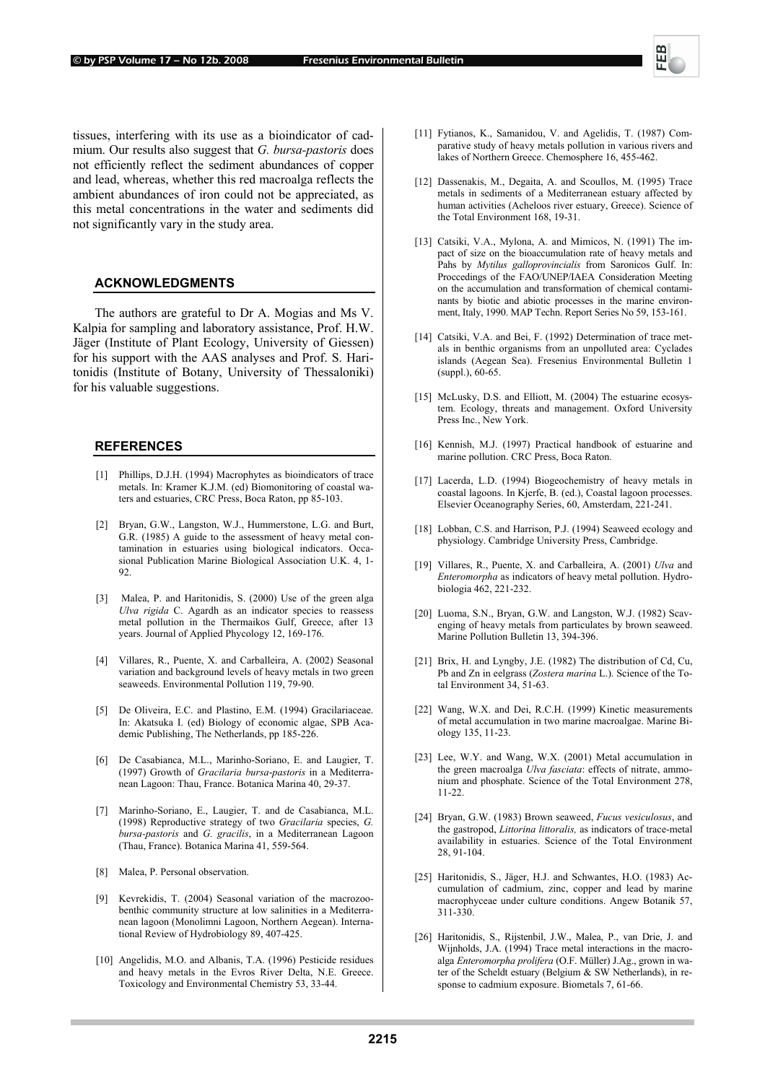

tissues, interfering with its use as a bioindicator of cadmium. Our results also suggest that *G. bursa-pastoris* does not efficiently reflect the sediment abundances of copper and lead, whereas, whether this red macroalga reflects the ambient abundances of iron could not be appreciated, as this metal concentrations in the water and sediments did not significantly vary in the study area.

## **ACKNOWLEDGMENTS**

The authors are grateful to Dr A. Mogias and Ms V. Kalpia for sampling and laboratory assistance, Prof. H.W. Jäger (Institute of Plant Ecology, University of Giessen) for his support with the AAS analyses and Prof. S. Haritonidis (Institute of Botany, University of Thessaloniki) for his valuable suggestions.

## **REFERENCES**

- [1] Phillips, D.J.H. (1994) Macrophytes as bioindicators of trace metals. In: Kramer K.J.M. (ed) Biomonitoring of coastal waters and estuaries, CRC Press, Boca Raton, pp 85-103.
- [2] Bryan, G.W., Langston, W.J., Hummerstone, L.G. and Burt, G.R. (1985) A guide to the assessment of heavy metal contamination in estuaries using biological indicators. Occasional Publication Marine Biological Association U.K. 4, 1- 92.
- [3] Malea, P. and Haritonidis, S. (2000) Use of the green alga *Ulva rigida* C. Agardh as an indicator species to reassess metal pollution in the Thermaikos Gulf, Greece, after 13 years. Journal of Applied Phycology 12, 169-176.
- [4] Villares, R., Puente, X. and Carballeira, A. (2002) Seasonal variation and background levels of heavy metals in two green seaweeds. Environmental Pollution 119, 79-90.
- [5] De Oliveira, E.C. and Plastino, E.M. (1994) Gracilariaceae. In: Akatsuka I. (ed) Biology of economic algae, SPB Academic Publishing, The Netherlands, pp 185-226.
- [6] De Casabianca, M.L., Marinho-Soriano, E. and Laugier, T. (1997) Growth of *Gracilaria bursa*-*pastoris* in a Mediterranean Lagoon: Thau, France. Botanica Marina 40, 29-37.
- [7] Marinho-Soriano, E., Laugier, T. and de Casabianca, M.L. (1998) Reproductive strategy of two *Gracilaria* species, *G. bursa-pastoris* and *G. gracilis*, in a Mediterranean Lagoon (Thau, France). Botanica Marina 41, 559-564.
- [8] Malea, P. Personal observation.
- [9] Kevrekidis, T. (2004) Seasonal variation of the macrozoobenthic community structure at low salinities in a Mediterranean lagoon (Monolimni Lagoon, Northern Aegean). International Review of Hydrobiology 89, 407-425.
- [10] Angelidis, M.O. and Albanis, T.A. (1996) Pesticide residues and heavy metals in the Evros River Delta, N.E. Greece. Toxicology and Environmental Chemistry 53, 33-44.
- [11] Fytianos, K., Samanidou, V. and Agelidis, T. (1987) Comparative study of heavy metals pollution in various rivers and lakes of Northern Greece. Chemosphere 16, 455-462.
- [12] Dassenakis, M., Degaita, A. and Scoullos, M. (1995) Trace metals in sediments of a Mediterranean estuary affected by human activities (Acheloos river estuary, Greece). Science of the Total Environment 168, 19-31.
- [13] Catsiki, V.A., Mylona, A. and Mimicos, N. (1991) The impact of size on the bioaccumulation rate of heavy metals and Pahs by *Mytilus galloprovincialis* from Saronicos Gulf. In: Proccedings of the FAO/UNEP/IAEA Consideration Meeting on the accumulation and transformation of chemical contaminants by biotic and abiotic processes in the marine environment, Italy, 1990. MAP Techn. Report Series No 59, 153-161.
- [14] Catsiki, V.A. and Bei, F. (1992) Determination of trace metals in benthic organisms from an unpolluted area: Cyclades islands (Aegean Sea). Fresenius Environmental Bulletin 1 (suppl.), 60-65.
- [15] McLusky, D.S. and Elliott, M. (2004) The estuarine ecosystem. Ecology, threats and management. Oxford University Press Inc., New York.
- [16] Kennish, M.J. (1997) Practical handbook of estuarine and marine pollution. CRC Press, Boca Raton.
- [17] Lacerda, L.D. (1994) Biogeochemistry of heavy metals in coastal lagoons. In Kjerfe, B. (ed.), Coastal lagoon processes. Elsevier Oceanography Series, 60, Amsterdam, 221-241.
- [18] Lobban, C.S. and Harrison, P.J. (1994) Seaweed ecology and physiology. Cambridge University Press, Cambridge.
- [19] Villares, R., Puente, X. and Carballeira, A. (2001) *Ulva* and *Enteromorpha* as indicators of heavy metal pollution. Hydrobiologia 462, 221-232.
- [20] Luoma, S.N., Bryan, G.W. and Langston, W.J. (1982) Scavenging of heavy metals from particulates by brown seaweed. Marine Pollution Bulletin 13, 394-396.
- [21] Brix, H. and Lyngby, J.E. (1982) The distribution of Cd, Cu, Pb and Zn in eelgrass (*Zostera marina* L.). Science of the Total Environment 34, 51-63.
- [22] Wang, W.X. and Dei, R.C.H. (1999) Kinetic measurements of metal accumulation in two marine macroalgae. Marine Biology 135, 11-23.
- [23] Lee, W.Y. and Wang, W.X. (2001) Metal accumulation in the green macroalga *Ulva fasciata*: effects of nitrate, ammonium and phosphate. Science of the Total Environment 278, 11-22.
- [24] Bryan, G.W. (1983) Brown seaweed, *Fucus vesiculosus*, and the gastropod, *Littorina littoralis,* as indicators of trace-metal availability in estuaries. Science of the Total Environment 28, 91-104.
- [25] Haritonidis, S., Jäger, H.J. and Schwantes, H.O. (1983) Accumulation of cadmium, zinc, copper and lead by marine macrophyceae under culture conditions. Angew Botanik 57, 311-330.
- [26] Haritonidis, S., Rijstenbil, J.W., Malea, P., van Drie, J. and Wijnholds, J.A. (1994) Trace metal interactions in the macroalga *Enteromorpha prolifera* (O.F. Müller) J.Ag., grown in water of the Scheldt estuary (Belgium & SW Netherlands), in response to cadmium exposure. Biometals 7, 61-66.